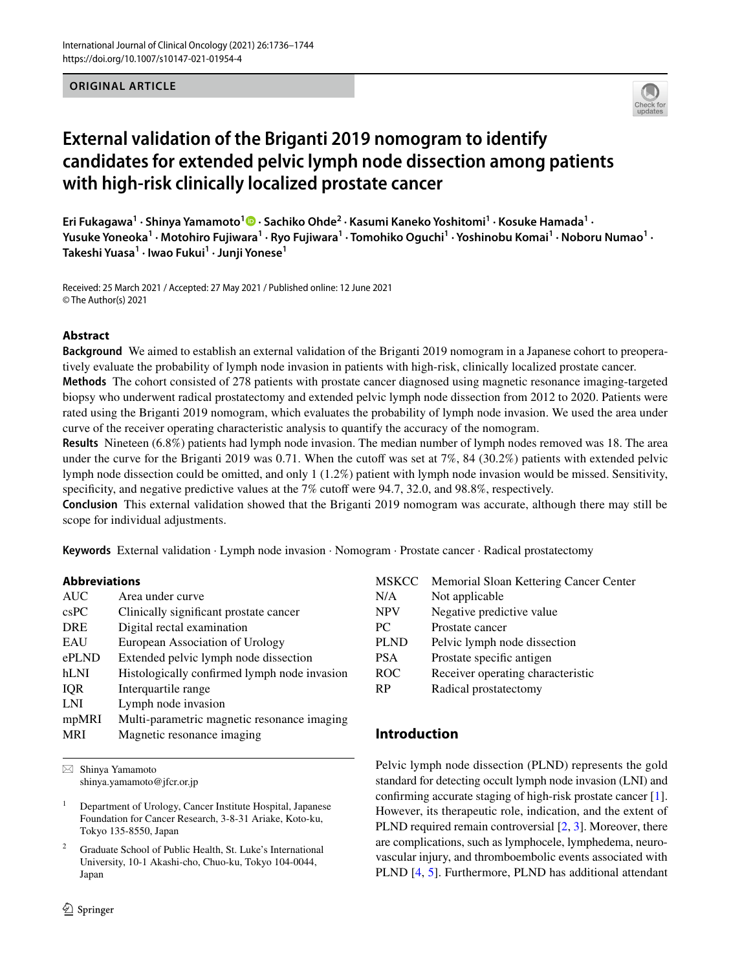**ORIGINAL ARTICLE**



# **External validation of the Briganti 2019 nomogram to identify candidates for extended pelvic lymph node dissection among patients with high‑risk clinically localized prostate cancer**

**Eri Fukagawa<sup>1</sup> · Shinya Yamamoto<sup>1</sup>  [·](http://orcid.org/0000-0003-0416-4697) Sachiko Ohde2 · Kasumi Kaneko Yoshitomi1 · Kosuke Hamada1 ·**  Yusuke Yoneoka<sup>1</sup> • Motohiro Fujiwara<sup>1</sup> • Ryo Fujiwara<sup>1</sup> • Tomohiko Oguchi<sup>1</sup> • Yoshinobu Komai<sup>1</sup> • Noboru Numao<sup>1</sup> • **Takeshi Yuasa1 · Iwao Fukui1 · Junji Yonese1**

Received: 25 March 2021 / Accepted: 27 May 2021 / Published online: 12 June 2021 © The Author(s) 2021

#### **Abstract**

**Background** We aimed to establish an external validation of the Briganti 2019 nomogram in a Japanese cohort to preoperatively evaluate the probability of lymph node invasion in patients with high-risk, clinically localized prostate cancer.

**Methods** The cohort consisted of 278 patients with prostate cancer diagnosed using magnetic resonance imaging-targeted biopsy who underwent radical prostatectomy and extended pelvic lymph node dissection from 2012 to 2020. Patients were rated using the Briganti 2019 nomogram, which evaluates the probability of lymph node invasion. We used the area under curve of the receiver operating characteristic analysis to quantify the accuracy of the nomogram.

**Results** Nineteen (6.8%) patients had lymph node invasion. The median number of lymph nodes removed was 18. The area under the curve for the Briganti 2019 was 0.71. When the cutoff was set at  $7\%$ , 84 (30.2%) patients with extended pelvic lymph node dissection could be omitted, and only 1 (1.2%) patient with lymph node invasion would be missed. Sensitivity, specificity, and negative predictive values at the 7% cutoff were 94.7, 32.0, and 98.8%, respectively.

**Conclusion** This external validation showed that the Briganti 2019 nomogram was accurate, although there may still be scope for individual adjustments.

**Keywords** External validation · Lymph node invasion · Nomogram · Prostate cancer · Radical prostatectomy

## **Abbreviations**

| Area under curve                             |
|----------------------------------------------|
| Clinically significant prostate cancer       |
| Digital rectal examination                   |
| European Association of Urology              |
| Extended pelvic lymph node dissection        |
| Histologically confirmed lymph node invasion |
| Interquartile range                          |
| Lymph node invasion                          |
| Multi-parametric magnetic resonance imaging  |
| Magnetic resonance imaging                   |
|                                              |

 $\boxtimes$  Shinya Yamamoto shinya.yamamoto@jfcr.or.jp

<sup>1</sup> Department of Urology, Cancer Institute Hospital, Japanese Foundation for Cancer Research, 3-8-31 Ariake, Koto-ku, Tokyo 135-8550, Japan

<sup>2</sup> Graduate School of Public Health, St. Luke's International University, 10-1 Akashi-cho, Chuo-ku, Tokyo 104-0044, Japan

| <b>MSKCC</b>     | Memorial Sloan Kettering Cancer Center |
|------------------|----------------------------------------|
| N/A              | Not applicable                         |
| <b>NPV</b>       | Negative predictive value              |
| PC.              | Prostate cancer                        |
| <b>PLND</b>      | Pelvic lymph node dissection           |
| <b>PSA</b>       | Prostate specific antigen              |
| ROC <sup>1</sup> | Receiver operating characteristic      |
| RP               | Radical prostatectomy                  |
|                  |                                        |

# **Introduction**

Pelvic lymph node dissection (PLND) represents the gold standard for detecting occult lymph node invasion (LNI) and confrming accurate staging of high-risk prostate cancer [\[1](#page-8-0)]. However, its therapeutic role, indication, and the extent of PLND required remain controversial [[2,](#page-8-1) [3](#page-8-2)]. Moreover, there are complications, such as lymphocele, lymphedema, neurovascular injury, and thromboembolic events associated with PLND [[4,](#page-8-3) [5\]](#page-8-4). Furthermore, PLND has additional attendant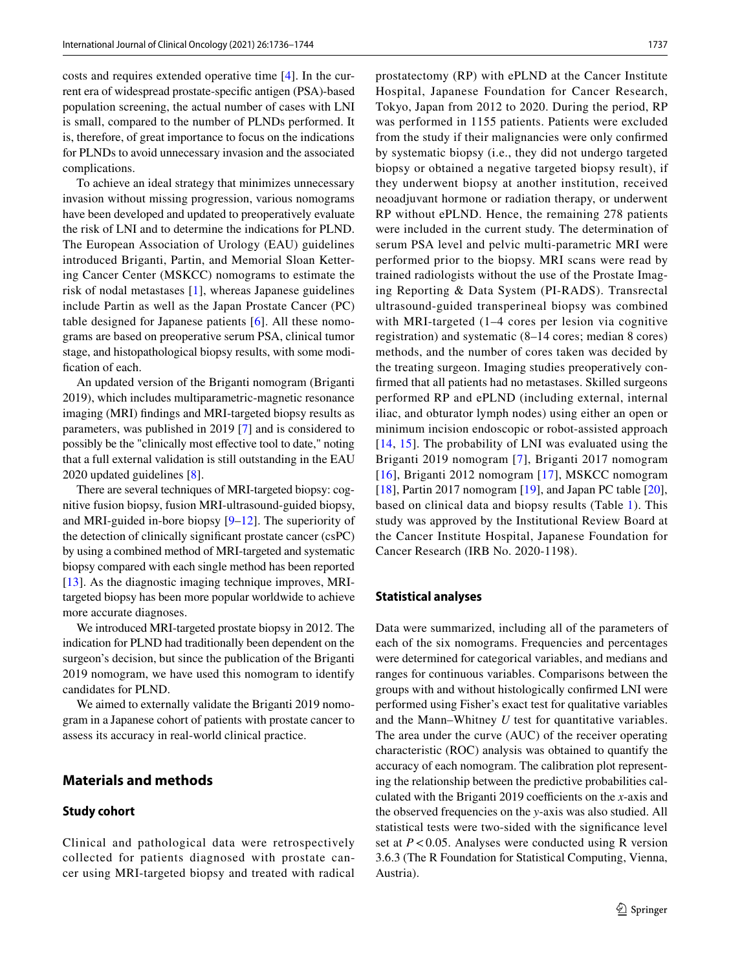costs and requires extended operative time [\[4](#page-8-3)]. In the current era of widespread prostate-specifc antigen (PSA)-based population screening, the actual number of cases with LNI is small, compared to the number of PLNDs performed. It is, therefore, of great importance to focus on the indications for PLNDs to avoid unnecessary invasion and the associated complications.

To achieve an ideal strategy that minimizes unnecessary invasion without missing progression, various nomograms have been developed and updated to preoperatively evaluate the risk of LNI and to determine the indications for PLND. The European Association of Urology (EAU) guidelines introduced Briganti, Partin, and Memorial Sloan Kettering Cancer Center (MSKCC) nomograms to estimate the risk of nodal metastases [[1](#page-8-0)], whereas Japanese guidelines include Partin as well as the Japan Prostate Cancer (PC) table designed for Japanese patients [\[6\]](#page-8-5). All these nomograms are based on preoperative serum PSA, clinical tumor stage, and histopathological biopsy results, with some modifcation of each.

An updated version of the Briganti nomogram (Briganti 2019), which includes multiparametric-magnetic resonance imaging (MRI) fndings and MRI-targeted biopsy results as parameters, was published in 2019 [\[7](#page-8-6)] and is considered to possibly be the "clinically most efective tool to date," noting that a full external validation is still outstanding in the EAU 2020 updated guidelines [\[8\]](#page-8-7).

There are several techniques of MRI-targeted biopsy: cognitive fusion biopsy, fusion MRI-ultrasound-guided biopsy, and MRI-guided in-bore biopsy [\[9](#page-8-8)[–12](#page-8-9)]. The superiority of the detection of clinically signifcant prostate cancer (csPC) by using a combined method of MRI-targeted and systematic biopsy compared with each single method has been reported [\[13\]](#page-8-10). As the diagnostic imaging technique improves, MRItargeted biopsy has been more popular worldwide to achieve more accurate diagnoses.

We introduced MRI-targeted prostate biopsy in 2012. The indication for PLND had traditionally been dependent on the surgeon's decision, but since the publication of the Briganti 2019 nomogram, we have used this nomogram to identify candidates for PLND.

We aimed to externally validate the Briganti 2019 nomogram in a Japanese cohort of patients with prostate cancer to assess its accuracy in real-world clinical practice.

# **Materials and methods**

#### **Study cohort**

Clinical and pathological data were retrospectively collected for patients diagnosed with prostate cancer using MRI-targeted biopsy and treated with radical

prostatectomy (RP) with ePLND at the Cancer Institute Hospital, Japanese Foundation for Cancer Research, Tokyo, Japan from 2012 to 2020. During the period, RP was performed in 1155 patients. Patients were excluded from the study if their malignancies were only confrmed by systematic biopsy (i.e., they did not undergo targeted biopsy or obtained a negative targeted biopsy result), if they underwent biopsy at another institution, received neoadjuvant hormone or radiation therapy, or underwent RP without ePLND. Hence, the remaining 278 patients were included in the current study. The determination of serum PSA level and pelvic multi-parametric MRI were performed prior to the biopsy. MRI scans were read by trained radiologists without the use of the Prostate Imaging Reporting & Data System (PI-RADS). Transrectal ultrasound-guided transperineal biopsy was combined with MRI-targeted (1–4 cores per lesion via cognitive registration) and systematic (8–14 cores; median 8 cores) methods, and the number of cores taken was decided by the treating surgeon. Imaging studies preoperatively confrmed that all patients had no metastases. Skilled surgeons performed RP and ePLND (including external, internal iliac, and obturator lymph nodes) using either an open or minimum incision endoscopic or robot-assisted approach [[14](#page-8-11), [15](#page-8-12)]. The probability of LNI was evaluated using the Briganti 2019 nomogram [\[7\]](#page-8-6), Briganti 2017 nomogram [[16](#page-8-13)], Briganti 2012 nomogram [\[17\]](#page-8-14), MSKCC nomogram [[18\]](#page-8-15), Partin 2017 nomogram [[19](#page-8-16)], and Japan PC table  $[20]$  $[20]$  $[20]$ , based on clinical data and biopsy results (Table [1\)](#page-2-0). This study was approved by the Institutional Review Board at the Cancer Institute Hospital, Japanese Foundation for Cancer Research (IRB No. 2020-1198).

#### **Statistical analyses**

Data were summarized, including all of the parameters of each of the six nomograms. Frequencies and percentages were determined for categorical variables, and medians and ranges for continuous variables. Comparisons between the groups with and without histologically confrmed LNI were performed using Fisher's exact test for qualitative variables and the Mann–Whitney *U* test for quantitative variables. The area under the curve (AUC) of the receiver operating characteristic (ROC) analysis was obtained to quantify the accuracy of each nomogram. The calibration plot representing the relationship between the predictive probabilities calculated with the Briganti 2019 coefficients on the *x*-axis and the observed frequencies on the *y*-axis was also studied. All statistical tests were two-sided with the signifcance level set at *P*<0.05. Analyses were conducted using R version 3.6.3 (The R Foundation for Statistical Computing, Vienna, Austria).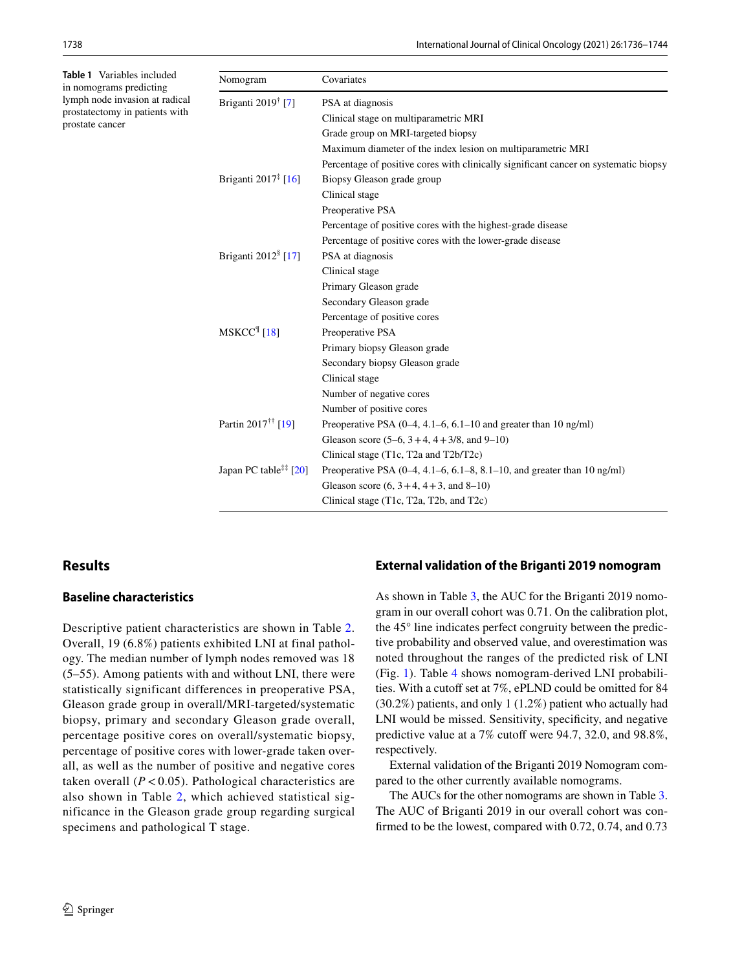<span id="page-2-0"></span>**Table 1** Variables included in nomograms predicting lymph node invasion at radical prostatectomy in patients with prostate cancer

| Nomogram                          | Covariates                                                                           |
|-----------------------------------|--------------------------------------------------------------------------------------|
| Briganti 2019 <sup>†</sup> [7]    | PSA at diagnosis                                                                     |
|                                   | Clinical stage on multiparametric MRI                                                |
|                                   | Grade group on MRI-targeted biopsy                                                   |
|                                   | Maximum diameter of the index lesion on multiparametric MRI                          |
|                                   | Percentage of positive cores with clinically significant cancer on systematic biopsy |
| Briganti 2017 <sup>‡</sup> [16]   | Biopsy Gleason grade group                                                           |
|                                   | Clinical stage                                                                       |
|                                   | Preoperative PSA                                                                     |
|                                   | Percentage of positive cores with the highest-grade disease                          |
|                                   | Percentage of positive cores with the lower-grade disease                            |
| Briganti 2012 <sup>§</sup> [17]   | PSA at diagnosis                                                                     |
|                                   | Clinical stage                                                                       |
|                                   | Primary Gleason grade                                                                |
|                                   | Secondary Gleason grade                                                              |
|                                   | Percentage of positive cores                                                         |
| $MSKCC$ <sup>[[18]</sup>          | Preoperative PSA                                                                     |
|                                   | Primary biopsy Gleason grade                                                         |
|                                   | Secondary biopsy Gleason grade                                                       |
|                                   | Clinical stage                                                                       |
|                                   | Number of negative cores                                                             |
|                                   | Number of positive cores                                                             |
| Partin 2017 <sup>††</sup> [19]    | Preoperative PSA $(0-4, 4.1-6, 6.1-10)$ and greater than 10 ng/ml)                   |
|                                   | Gleason score $(5-6, 3+4, 4+3/8,$ and $9-10)$                                        |
|                                   | Clinical stage (T1c, T2a and T2b/T2c)                                                |
| Japan PC table <sup>##</sup> [20] | Preoperative PSA (0-4, 4.1-6, 6.1-8, 8.1-10, and greater than 10 ng/ml)              |
|                                   | Gleason score $(6, 3+4, 4+3, \text{ and } 8-10)$                                     |
|                                   | Clinical stage (T1c, T2a, T2b, and T2c)                                              |

# **Results**

#### **Baseline characteristics**

Descriptive patient characteristics are shown in Table [2.](#page-3-0) Overall, 19 (6.8%) patients exhibited LNI at final pathology. The median number of lymph nodes removed was 18 (5–55). Among patients with and without LNI, there were statistically significant differences in preoperative PSA, Gleason grade group in overall/MRI-targeted/systematic biopsy, primary and secondary Gleason grade overall, percentage positive cores on overall/systematic biopsy, percentage of positive cores with lower-grade taken overall, as well as the number of positive and negative cores taken overall  $(P < 0.05)$ . Pathological characteristics are also shown in Table [2](#page-3-0), which achieved statistical significance in the Gleason grade group regarding surgical specimens and pathological T stage.

## **External validation of the Briganti 2019 nomogram**

As shown in Table [3](#page-6-0), the AUC for the Briganti 2019 nomogram in our overall cohort was 0.71. On the calibration plot, the 45° line indicates perfect congruity between the predictive probability and observed value, and overestimation was noted throughout the ranges of the predicted risk of LNI (Fig. [1\)](#page-6-1). Table [4](#page-7-0) shows nomogram-derived LNI probabilities. With a cutoff set at 7%, ePLND could be omitted for 84 (30.2%) patients, and only 1 (1.2%) patient who actually had LNI would be missed. Sensitivity, specifcity, and negative predictive value at a 7% cutoff were 94.7, 32.0, and 98.8%, respectively.

External validation of the Briganti 2019 Nomogram compared to the other currently available nomograms.

The AUCs for the other nomograms are shown in Table [3.](#page-6-0) The AUC of Briganti 2019 in our overall cohort was confrmed to be the lowest, compared with 0.72, 0.74, and 0.73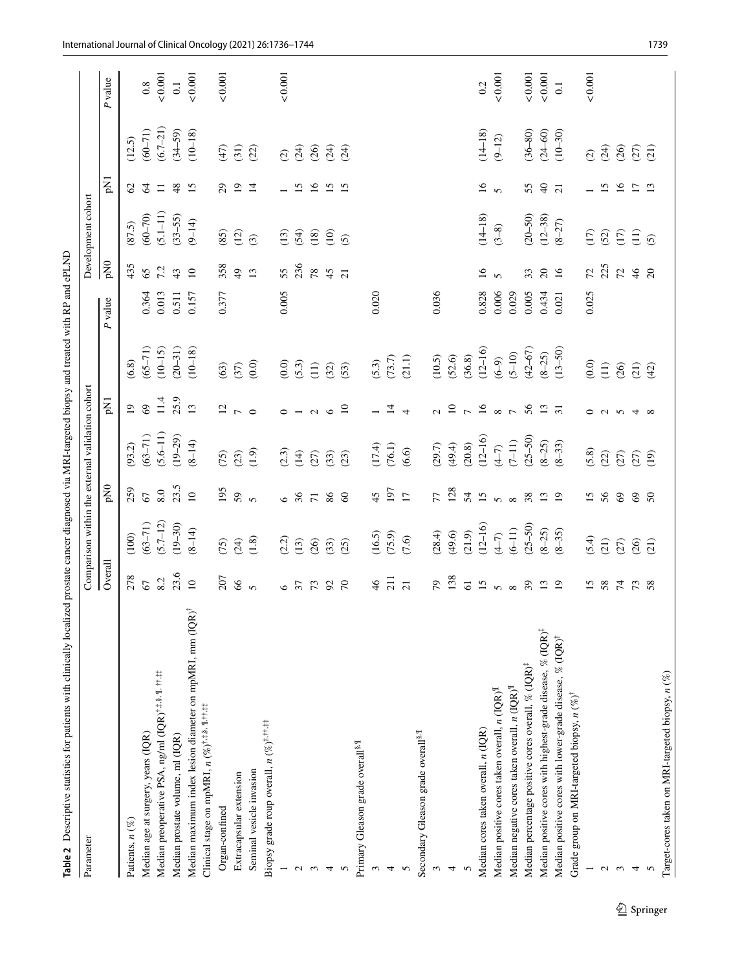| Parameter                                                                                                                                     |                 |                                  |                 | Comparison within the external validation cohort                  |                     |                                             |                        |                 | Development cohort                                                     |                             |                         |                       |
|-----------------------------------------------------------------------------------------------------------------------------------------------|-----------------|----------------------------------|-----------------|-------------------------------------------------------------------|---------------------|---------------------------------------------|------------------------|-----------------|------------------------------------------------------------------------|-----------------------------|-------------------------|-----------------------|
|                                                                                                                                               | Overall         |                                  | pN <sub>0</sub> |                                                                   | pN1                 |                                             | $\boldsymbol{P}$ value | pNO             |                                                                        | pN1                         |                         | P value               |
| Patients, $n$ $(\%)$                                                                                                                          | 278             | (100)                            | 259             | (93.2)                                                            | $\overline{0}$      | (6.8)                                       |                        | 435             |                                                                        | $\mathcal{O}$               | (12.5)                  |                       |
| Median age at surgery, years (IQR)                                                                                                            | 67              | $(63 - 71)$                      | 67              |                                                                   | 69                  |                                             | 0.364                  | 65              |                                                                        | $\mathcal{L}$               | $(60 - 71)$             |                       |
| Median preoperative PSA, ng/ml (IQR) <sup>†,‡,§, ¶, ††,#</sup>                                                                                | 8.2             | $(5.7 - 12)$                     |                 | $(63-71)$<br>$(5.6-11)$<br>$(19-29)$                              |                     | $(65-71)$<br>(10-15)<br>(20-31)             | 0.013                  | 7.2             | $(87.5)$<br>$(60-70)$<br>$(5.1-11)$<br>$(33-55)$                       |                             |                         | $\frac{0.8}{0.001}$   |
| Median prostate volume, ml (IQR)                                                                                                              | 23.6            | $(19 - 30)$                      | $8.0$<br>23.5   |                                                                   | $11.4$<br>$25.9$    |                                             | 0.511                  | 43              |                                                                        | 48                          | $(6.7-21)$<br>$(34-59)$ |                       |
| Median maximum index lesion diameter on mpMRI, mm (IQR) <sup>†</sup>                                                                          | $\overline{10}$ | $(8 - 14)$                       | $\overline{10}$ | $(8 - 14)$                                                        |                     | $(10 - 18)$                                 | 0.157                  | $\overline{10}$ | $(9 - 14)$                                                             | 15                          | $(10 - 18)$             | $\frac{0.1}{0.001}$   |
| Clinical stage on mpMRI, $n$ (%) <sup>†,<math>\ddagger</math>,<math>\frac{8}{3}</math>, <math>\frac{9}{3}</math>, <math>\ddagger</math></sup> |                 |                                  |                 |                                                                   |                     |                                             |                        |                 |                                                                        |                             |                         |                       |
| Organ-confined                                                                                                                                | 207             | (5)                              | 195             |                                                                   | $\overline{2}$      | (63)                                        | 0.377                  | 358             | (85)                                                                   | $\mathcal{L}^{\mathcal{O}}$ | (47)                    | 0.001                 |
| Extracapsular extension                                                                                                                       | $\delta$        |                                  | 59              |                                                                   |                     |                                             |                        | $\overline{49}$ | (12)                                                                   | $\overline{1}$              | (31)                    |                       |
| Seminal vesicle invasion                                                                                                                      | $\mathfrak{g}$  | $(24)$ $(1.8)$                   | $\mathfrak{g}$  | $(23)$<br>$(1.9)$                                                 | $\circ$             | $(37)$ $(0.0)$                              |                        | 13              | $\odot$                                                                | $\overline{1}$              | (22)                    |                       |
| Biopsy grade roup overall, $n$<br>$(\%)^{\sharp,\uparrow\uparrow,\sharp\sharp}$                                                               |                 |                                  |                 |                                                                   |                     |                                             |                        |                 |                                                                        |                             |                         |                       |
|                                                                                                                                               | $\circ$         | (2.2)                            | $\circ$         | (2.3)                                                             | $\circ$             |                                             | 0.005                  | 55              | (13)                                                                   |                             | $\widehat{c}$           | 0.001                 |
| $\mathbf{c}$                                                                                                                                  | 37              | (13)                             | 36              | (14)                                                              |                     |                                             |                        | 236             | (54)                                                                   | $\overline{15}$             | (24)                    |                       |
| $\epsilon$                                                                                                                                    | 73              | (26)                             | $\overline{71}$ | (27)                                                              | $\sim$              |                                             |                        | 78              | (18)                                                                   | $\overline{16}$             | (26)                    |                       |
| 4                                                                                                                                             | $\mathfrak{S}$  |                                  | 86              |                                                                   | $\circ$             |                                             |                        | 45              | $\frac{1}{2}$                                                          | $\overline{15}$             | (24)                    |                       |
|                                                                                                                                               | $\mathcal{L}$   | (33)                             | 60              | $\begin{array}{c} (33) \\ (23) \end{array}$                       | $\overline{10}$     |                                             |                        | $\overline{21}$ |                                                                        | $\overline{15}$             | (24)                    |                       |
| Primary Gleason grade overall <sup>§,¶</sup>                                                                                                  |                 |                                  |                 |                                                                   |                     |                                             |                        |                 |                                                                        |                             |                         |                       |
| $\epsilon$                                                                                                                                    | 46              |                                  | 45              |                                                                   |                     |                                             | 0.020                  |                 |                                                                        |                             |                         |                       |
|                                                                                                                                               | $\overline{21}$ | $(16.5)$<br>$(75.9)$<br>$(7.6)$  | $197$<br>17     | $(17.4)$<br>$(76.1)$<br>$(6.6)$                                   | $\overline{4}$      | $(5.3)$<br>$(73.7)$<br>$(21.1)$             |                        |                 |                                                                        |                             |                         |                       |
|                                                                                                                                               | $\overline{21}$ |                                  |                 |                                                                   | $\overline{ }$      |                                             |                        |                 |                                                                        |                             |                         |                       |
| Secondary Gleason grade overall <sup>§, II</sup>                                                                                              |                 |                                  |                 |                                                                   |                     |                                             |                        |                 |                                                                        |                             |                         |                       |
|                                                                                                                                               | 79              |                                  | 77              |                                                                   | $\sim$              |                                             | 0.036                  |                 |                                                                        |                             |                         |                       |
|                                                                                                                                               | 138             |                                  | 128             |                                                                   |                     |                                             |                        |                 |                                                                        |                             |                         |                       |
|                                                                                                                                               | $\overline{6}$  | $(28.4)$<br>$(49.6)$<br>$(21.9)$ | 54              | $(29.7)$<br>$(49.4)$<br>$(20.8)$                                  |                     | $(10.5)$<br>$(52.6)$<br>$(36.8)$            |                        |                 |                                                                        |                             |                         |                       |
| Median cores taken overall, n (IQR)                                                                                                           | $\overline{15}$ | $(12 - 16)$                      | 15              | $(12 - 16)$                                                       |                     | $(12 - 16)$                                 | 0.828                  | $\overline{16}$ | $(14-18)$<br>$(3-8)$                                                   | $\tilde{16}$                | $(14 - 18)$             | 0.2                   |
| Median positive cores taken overall, $n$ (IQR) <sup>II</sup>                                                                                  | $\mathbf{v}$    | $(4 - 7)$                        | $\mathbf{v}$    | $(4-7)$                                                           | 275878              | $(6-9)$                                     | 0.006                  | $\mathbf{v}$    |                                                                        | $\mathbf{v}$                | $(9 - 12)$              | 0.001                 |
| Median negative cores taken overall, $n$ (IQR) <sup>II</sup>                                                                                  | $\infty$        | $(6 - 11)$                       | $\infty$        | $(7-11)$                                                          |                     | $(5 - 10)$                                  | 0.029                  |                 |                                                                        |                             |                         |                       |
| Median percentage positive cores overall, % $(QR)^{\ddagger}$                                                                                 | $\mathcal{E}$   | $(25 - 50)$                      | 38              | $(25 - 50)$                                                       |                     | $(42 - 67)$                                 | 0.005                  | 33              | $(20 - 50)$                                                            | 55                          | $(36 - 80)$             | 0.001                 |
| Median positive cores with highest-grade disease, $\%$ (IQR) <sup>‡</sup>                                                                     | $\mathbf{L}$    | $(8 - 25)$                       | 13              | $(8 - 25)$                                                        | 13                  | $(8 - 25)$                                  | 0.434                  | $\overline{c}$  | $(12 - 38)$                                                            | $\Theta$                    | $(24 - 60)$             | $\mathbf{<}0.001$ 0.1 |
| Median positive cores with lower-grade disease, % (IQR) <sup>‡</sup>                                                                          | $\overline{5}$  | $(8 - 35)$                       | $\overline{19}$ | $(8 - 33)$                                                        | $\overline{31}$     | $(13 - 50)$                                 | 0.021                  | 16              | $(8 - 27)$                                                             | $\overline{c}$              | $(10 - 30)$             |                       |
| Grade group on MRI-targeted biopsy, $n$ (%) <sup>†</sup>                                                                                      |                 |                                  |                 |                                                                   |                     |                                             |                        |                 |                                                                        |                             |                         |                       |
|                                                                                                                                               | $\overline{15}$ |                                  | 15              |                                                                   | $\circ$             | $(0.0)$                                     | 0.025                  | 72              |                                                                        |                             | $\widehat{C}$           | 0.001                 |
| $\mathbf{c}$                                                                                                                                  | 58              | $(5.4)$<br>$(2.7)$               | 56              | $\begin{array}{c} 6.8 \\ 2.0 \\ 3.0 \\ 5.0 \\ 6.0 \\ \end{array}$ | $\alpha$ $\gamma$ 4 | $\begin{array}{c} (11) \\ (26) \end{array}$ |                        | 225             | $\begin{array}{c} 1.00000 \\ 1.00000 \\ 1.00000 \\ \hline \end{array}$ | $\overline{15}$             | (36)                    |                       |
| $\epsilon$                                                                                                                                    | $\mathcal{L}$   |                                  | 69              |                                                                   |                     |                                             |                        |                 |                                                                        | $\overline{16}$             |                         |                       |
| 4                                                                                                                                             | 73              | (26)                             | 69              |                                                                   |                     | (21)                                        |                        | 7246            |                                                                        | $\overline{1}$              |                         |                       |
|                                                                                                                                               | 58              | (21)                             | 50              |                                                                   | $\infty$            | (42)                                        |                        |                 | $\overline{5}$                                                         | $\mathbf{L}$                |                         |                       |
| Target-cores taken on MRI-targeted biopsy, $n$ (%)                                                                                            |                 |                                  |                 |                                                                   |                     |                                             |                        |                 |                                                                        |                             |                         |                       |

<span id="page-3-0"></span> $\underline{\textcircled{\tiny 2}}$  Springer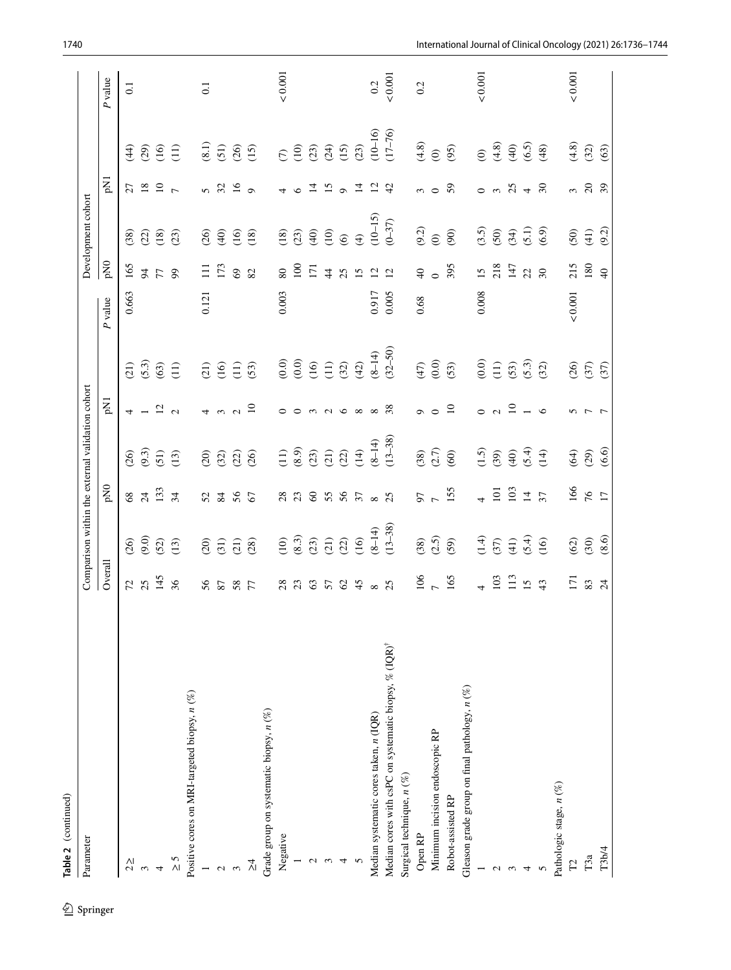| Parameter                                                         |                 |               |                 | Comparison within the external validation cohort |                          |               |               |                  | Development cohort         |                             |                      |                  |
|-------------------------------------------------------------------|-----------------|---------------|-----------------|--------------------------------------------------|--------------------------|---------------|---------------|------------------|----------------------------|-----------------------------|----------------------|------------------|
|                                                                   | Overall         |               | pN <sub>0</sub> |                                                  | pN1                      |               | P value       | pN <sub>0</sub>  |                            | pN1                         |                      | P value          |
| $2\geq$                                                           | 52              |               | $68\,$          |                                                  | 4                        | (12)          | 0.663         | 165              | (38)                       | 27                          | र्मि                 | $\overline{0.1}$ |
| 3                                                                 | 25              | (9.6)         | $\overline{z}$  | $(26)$<br>$(9.3)$                                |                          | (5.3)         |               | 64               | $\widetilde{\mathfrak{L}}$ | $18\,$                      | (65)                 |                  |
| $\overline{a}$                                                    | 145             | (52)          | 133             | (51)                                             | $\overline{c}$           | (63)          |               | 77               | (18)                       | $\frac{1}{7}$               | $\overline{16}$      |                  |
| $\frac{5}{1}$                                                     | 36              | (13)          | 34              | (13)                                             | $\sim$                   | $\Xi$         |               | 99               | (23)                       |                             | $\Xi$                |                  |
| Positive cores on MRI-targeted biopsy, $n$ (%)                    |                 |               |                 |                                                  |                          |               |               |                  |                            |                             |                      |                  |
| $\overline{\phantom{0}}$                                          | 56              | (20)          | 52              | (3)                                              | 4                        | (12)          | 0.121         | $\Xi$            | (26)                       | 5                           | (8.1)                | $\overline{0}$ . |
| $\sim$                                                            | 87              | (31)          | 84              | (32)                                             | 3                        | (16)          |               | 173              | $\widehat{40}$             | $\mathfrak{L}$              | (51)                 |                  |
| $\infty$                                                          | 58              | (21)          | 56              | (22)                                             | $\sim$                   | $\widehat{1}$ |               | $\mathcal{S}$    | $\overline{16}$            | $\frac{6}{1}$               | (26)                 |                  |
| Ϋ́                                                                | 77              | (28)          | 67              | (36)                                             | $\Xi$                    | (53)          |               | 82               | (18)                       | $\circ$                     | $\overline{15}$      |                  |
| Grade group on systematic biopsy, $n$ (%)                         |                 |               |                 |                                                  |                          |               |               |                  |                            |                             |                      |                  |
| Negative                                                          | 28              | (10)          | 28              | (11)                                             | ○                        | (0.0)         | 0.003         | 80               | (18)                       |                             | $\widehat{C}$        | ${}_{<0.001}$    |
|                                                                   | 23              | (8.3)         | 23              | (8.9)                                            | $\circ$                  | (0.0)         |               | $\overline{100}$ | (23)                       | $\circ$                     | (10)                 |                  |
| $\mathcal{L}$                                                     | 63              | (23)          | $\infty$        | (23)                                             | $\epsilon$               | (16)          |               | $\overline{17}$  | $\widehat{q}$              | $\vec{a}$                   | (23)                 |                  |
| 3                                                                 | 57              | (21)          | 55              | (21)                                             | $\sim$                   | (11)          |               | $\ddot{4}$       | (10)                       | 15                          | (24)                 |                  |
| 4                                                                 | 62              | (22)          | 56              | (22)                                             | $\circ$                  | (32)          |               | 25               | $\widehat{\odot}$          | $\sigma$                    | (15)                 |                  |
| $\mathbf{\hat{z}}$                                                | 45              | (16)          |                 | (14)                                             | $\infty$                 | (42)          |               | 15               | $\bigoplus$                | $\overline{4}$              | (23)                 |                  |
| Median systematic cores taken, n (IQR)                            | $\infty$        | $(8 - 14)$    | $\infty$        | $(8 - 14)$                                       | $\infty$                 | $(8 - 14)$    | 0.917         | $\bar{\omega}$   | $(10-15)$                  | $\overline{c}$              | $(10 - 16)$          | 0.2              |
| Median cores with csPC on systematic biopsy, % (IQR) <sup>†</sup> | $\mathfrak{L}$  | $(13 - 38)$   | $^{25}$         | $(13 - 38)$                                      | 38                       | $(32 - 50)$   | 0.005         | $\overline{12}$  | $(0 - 37)$                 | 42                          | $(17 - 76)$          | 0.001            |
| Surgical technique, $n$ (%)                                       |                 |               |                 |                                                  |                          |               |               |                  |                            |                             |                      |                  |
| Open RP                                                           | 106             | (38)          | 50              | (38)                                             | $\sigma$                 | (47)          | 0.68          | $\overline{40}$  | (9.2)                      | $\epsilon$                  | (4.8)                | 0.2              |
| Minimum incision endoscopic RP                                    | $\overline{z}$  | (2.5)         | $\overline{a}$  | (2.7)                                            | $\circ$                  | $(0.0)$       |               | $\circ$          | $\widehat{\mathbf{c}}$     | $\circ$                     | $\widehat{\epsilon}$ |                  |
| Robot-assisted RP                                                 | 165             | (59)          | 155             | $\circledS$                                      | $\overline{10}$          | (53)          |               | 395              | $\circledcirc$             | 59                          | (95)                 |                  |
| Gleason grade group on final pathology, $n$ (%)                   |                 |               |                 |                                                  |                          |               |               |                  |                            |                             |                      |                  |
|                                                                   | $\overline{a}$  | $\frac{4}{1}$ |                 | $\overline{1.5}$                                 | $\circ$                  | (0.0)         | 0.008         | 15               | (3.5)                      | $\circ$                     | $\widehat{e}$        | ${}_{<0.001}$    |
| $\mathbf 2$                                                       | 103             | (37)          | 101             | (39)                                             | $\sim$                   | (11)          |               | 218              | $(50)$                     |                             | (4.8)                |                  |
| $\mathcal{C}$                                                     | 113             | $\frac{1}{2}$ | 103             | $\widehat{\Theta}$                               | $\Xi$                    | (53)          |               | 147              | (34)                       | <u>ი გ</u>                  | $\widehat{\Theta}$   |                  |
| 4                                                                 | 15              | (5.4)         | $\overline{4}$  | (5.4)                                            | $\overline{\phantom{0}}$ | (5.3)         |               | $\mathcal{Z}$    |                            | $\overline{4}$              | (6.5)                |                  |
|                                                                   | 43              | (16)          | $\overline{37}$ | (14)                                             | $\circ$                  | (32)          |               | 30               | (6.1)                      | 50                          | (48)                 |                  |
| Pathologic stage, n (%)                                           |                 |               |                 |                                                  |                          |               |               |                  |                            |                             |                      |                  |
| $\Xi$                                                             | 171             | (62)          | 166             | (64)                                             | 5                        | (26)          | ${}_{<0.001}$ | 215              |                            |                             | (4.8)                | $< 0.001$        |
| ТЗа                                                               | $83\,$          | (30)          | $\frac{6}{17}$  | (29)                                             | 7 7                      | (37)          |               | 180              | (14)                       | $\frac{3}{2}$               | (32)                 |                  |
| T3b/4                                                             | $\overline{24}$ | (8.6)         |                 | (6.6)                                            |                          | (37)          |               | $\Theta$         | (9.2)                      | $\mathcal{S}^{\mathcal{S}}$ | (63)                 |                  |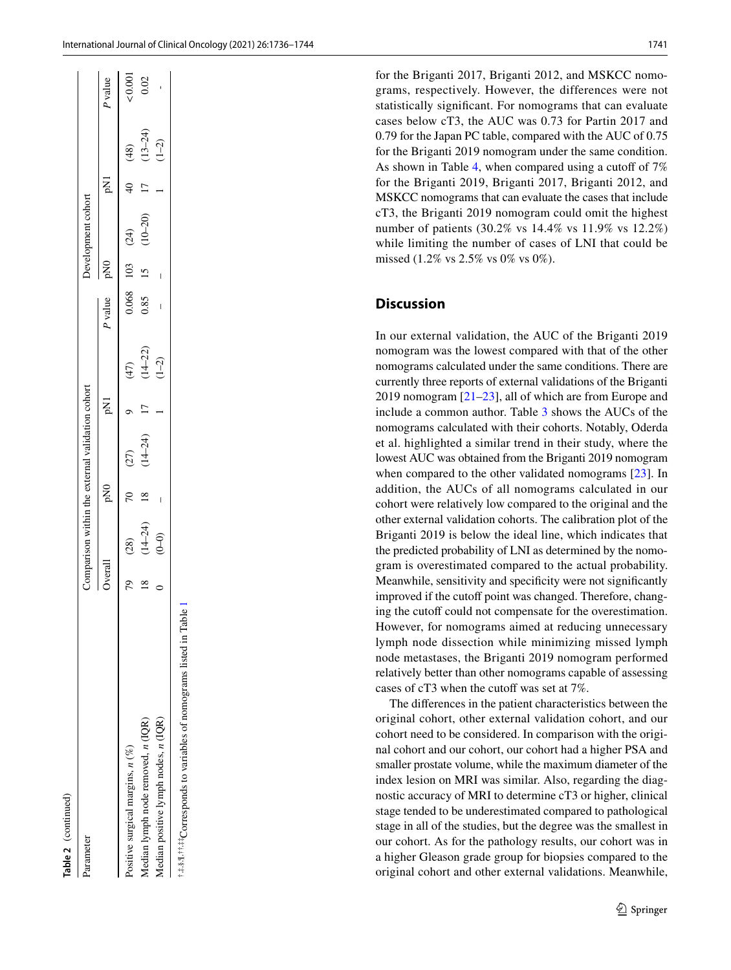for the Briganti 2017, Briganti 2012, and MSKCC nomograms, respectively. However, the differences were not statistically signifcant. For nomograms that can evaluate cases below cT3, the AUC was 0.73 for Partin 2017 and 0.79 for the Japan PC table, compared with the AUC of 0.75 for the Briganti 2019 nomogram under the same condition. As shown in Table [4](#page-7-0), when compared using a cutoff of  $7\%$ for the Briganti 2019, Briganti 2017, Briganti 2012, and MSKCC nomograms that can evaluate the cases that include cT3, the Briganti 2019 nomogram could omit the highest number of patients (30.2% vs 14.4% vs 11.9% vs 12.2%) while limiting the number of cases of LNI that could be missed (1.2% vs 2.5% vs 0% vs 0%).

# **Discussion**

In our external validation, the AUC of the Briganti 2019 nomogram was the lowest compared with that of the other nomograms calculated under the same conditions. There are currently three reports of external validations of the Briganti 2019 nomogram  $[21-23]$  $[21-23]$ , all of which are from Europe and include a common author. Table [3](#page-6-0) shows the AUCs of the nomograms calculated with their cohorts. Notably, Oderda et al. highlighted a similar trend in their study, where the lowest AUC was obtained from the Briganti 2019 nomogram when compared to the other validated nomograms [[23](#page-8-19)]. In addition, the AUCs of all nomograms calculated in our cohort were relatively low compared to the original and the other external validation cohorts. The calibration plot of the Briganti 2019 is below the ideal line, which indicates that the predicted probability of LNI as determined by the nomogram is overestimated compared to the actual probability. Meanwhile, sensitivity and specificity were not significantly improved if the cutoff point was changed. Therefore, changing the cutoff could not compensate for the overestimation. However, for nomograms aimed at reducing unnecessary lymph node dissection while minimizing missed lymph node metastases, the Briganti 2019 nomogram performed relatively better than other nomograms capable of assessing cases of cT3 when the cutoff was set at 7%.

The diferences in the patient characteristics between the original cohort, other external validation cohort, and our cohort need to be considered. In comparison with the original cohort and our cohort, our cohort had a higher PSA and smaller prostate volume, while the maximum diameter of the index lesion on MRI was similar. Also, regarding the diagnostic accuracy of MRI to determine cT3 or higher, clinical stage tended to be underestimated compared to pathological stage in all of the studies, but the degree was the smallest in our cohort. As for the pathology results, our cohort was in a higher Gleason grade group for biopsies compared to the original cohort and other external validations. Meanwhile,

| Springer |
|----------|
|          |
|          |
|          |
|          |
|          |

| ;<br>:<br>i<br>ׅ֘<br>Ï<br>]<br>]<br>]<br>I<br>֧֚֚֚֚֝<br>֧֧֚֚֚֚֚֚֚֚֚֚֚֚֚֚֝֝֝֝֝֝ <u>֚</u><br>l |                                              |  |
|----------------------------------------------------------------------------------------------|----------------------------------------------|--|
| 5.0<br>.                                                                                     | ł<br>$\overline{a}$<br>:<br>i<br>5<br>I<br>Ì |  |
|                                                                                              |                                              |  |

| 64     |                                |                |                   | $\circ$        |                                |                                              | $\frac{103}{15}$ |                     |                |                            |                                            |
|--------|--------------------------------|----------------|-------------------|----------------|--------------------------------|----------------------------------------------|------------------|---------------------|----------------|----------------------------|--------------------------------------------|
| $18\,$ | $(28)$<br>$(14-24)$<br>$(0-0)$ | $\frac{8}{18}$ | $(27)$<br>(14-24) | $\frac{17}{1}$ | $(47)$<br>$(14-22)$<br>$(1-2)$ | $\begin{array}{c} 0.068 \\ 0.85 \end{array}$ |                  | $(24)$<br>$(10-20)$ | $\frac{1}{2}$  | $(48)$<br>(13-24)<br>(1-2) | $\begin{matrix} 0.00 \\ 0.02 \end{matrix}$ |
|        |                                | ı              |                   |                |                                | $\overline{\phantom{a}}$                     | $\frac{1}{2}$    |                     | $\overline{1}$ |                            |                                            |

†,‡,§,¶,††,‡‡Corresponds to variables of nomograms listed in Table [1](#page-2-0)

:\*.\$. fi. tit ##Corresponds to variables of nomograms listed in Table

Overall pN0 pN1

DN<sub>O</sub>

Overall

*P* value pN0 pN1

**ONC**  $\overline{03}$  $\mathbf{v}$ 

P value

pNI

pN1  $\Theta$  $\overline{1}$ 

*P* value

<0.001

0.02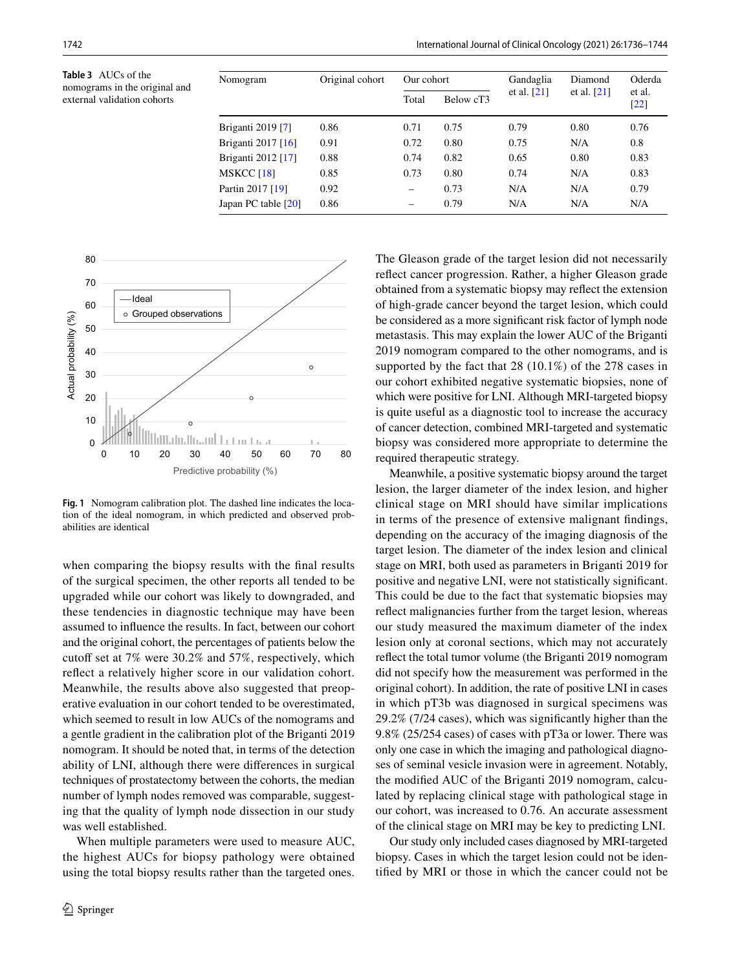<span id="page-6-0"></span>**Table 3** AUCs of the nomograms in the original and external validation cohorts

| Nomogram             | Original cohort | Our cohort      |           | Gandaglia     | Diamond       | Oderda                       |
|----------------------|-----------------|-----------------|-----------|---------------|---------------|------------------------------|
|                      |                 | Total           | Below cT3 | et al. $[21]$ | et al. $[21]$ | et al.<br>$\lceil 22 \rceil$ |
| Briganti 2019 [7]    | 0.86            | 0.71            | 0.75      | 0.79          | 0.80          | 0.76                         |
| Briganti 2017 $[16]$ | 0.91            | 0.72            | 0.80      | 0.75          | N/A           | 0.8                          |
| Briganti 2012 [17]   | 0.88            | 0.74            | 0.82      | 0.65          | 0.80          | 0.83                         |
| <b>MSKCC</b> [18]    | 0.85            | 0.73            | 0.80      | 0.74          | N/A           | 0.83                         |
| Partin 2017 [19]     | 0.92            | $\qquad \qquad$ | 0.73      | N/A           | N/A           | 0.79                         |
| Japan PC table [20]  | 0.86            | -               | 0.79      | N/A           | N/A           | N/A                          |



<span id="page-6-1"></span>**Fig. 1** Nomogram calibration plot. The dashed line indicates the location of the ideal nomogram, in which predicted and observed probabilities are identical

when comparing the biopsy results with the fnal results of the surgical specimen, the other reports all tended to be upgraded while our cohort was likely to downgraded, and these tendencies in diagnostic technique may have been assumed to infuence the results. In fact, between our cohort and the original cohort, the percentages of patients below the cutoff set at 7% were 30.2% and 57%, respectively, which refect a relatively higher score in our validation cohort. Meanwhile, the results above also suggested that preoperative evaluation in our cohort tended to be overestimated, which seemed to result in low AUCs of the nomograms and a gentle gradient in the calibration plot of the Briganti 2019 nomogram. It should be noted that, in terms of the detection ability of LNI, although there were diferences in surgical techniques of prostatectomy between the cohorts, the median number of lymph nodes removed was comparable, suggesting that the quality of lymph node dissection in our study was well established.

When multiple parameters were used to measure AUC, the highest AUCs for biopsy pathology were obtained using the total biopsy results rather than the targeted ones.

The Gleason grade of the target lesion did not necessarily refect cancer progression. Rather, a higher Gleason grade obtained from a systematic biopsy may refect the extension of high-grade cancer beyond the target lesion, which could be considered as a more signifcant risk factor of lymph node metastasis. This may explain the lower AUC of the Briganti 2019 nomogram compared to the other nomograms, and is supported by the fact that 28 (10.1%) of the 278 cases in our cohort exhibited negative systematic biopsies, none of which were positive for LNI. Although MRI-targeted biopsy is quite useful as a diagnostic tool to increase the accuracy of cancer detection, combined MRI-targeted and systematic biopsy was considered more appropriate to determine the required therapeutic strategy.

Meanwhile, a positive systematic biopsy around the target lesion, the larger diameter of the index lesion, and higher clinical stage on MRI should have similar implications in terms of the presence of extensive malignant fndings, depending on the accuracy of the imaging diagnosis of the target lesion. The diameter of the index lesion and clinical stage on MRI, both used as parameters in Briganti 2019 for positive and negative LNI, were not statistically signifcant. This could be due to the fact that systematic biopsies may refect malignancies further from the target lesion, whereas our study measured the maximum diameter of the index lesion only at coronal sections, which may not accurately refect the total tumor volume (the Briganti 2019 nomogram did not specify how the measurement was performed in the original cohort). In addition, the rate of positive LNI in cases in which pT3b was diagnosed in surgical specimens was 29.2% (7/24 cases), which was signifcantly higher than the 9.8% (25/254 cases) of cases with pT3a or lower. There was only one case in which the imaging and pathological diagnoses of seminal vesicle invasion were in agreement. Notably, the modifed AUC of the Briganti 2019 nomogram, calculated by replacing clinical stage with pathological stage in our cohort, was increased to 0.76. An accurate assessment of the clinical stage on MRI may be key to predicting LNI.

Our study only included cases diagnosed by MRI-targeted biopsy. Cases in which the target lesion could not be identifed by MRI or those in which the cancer could not be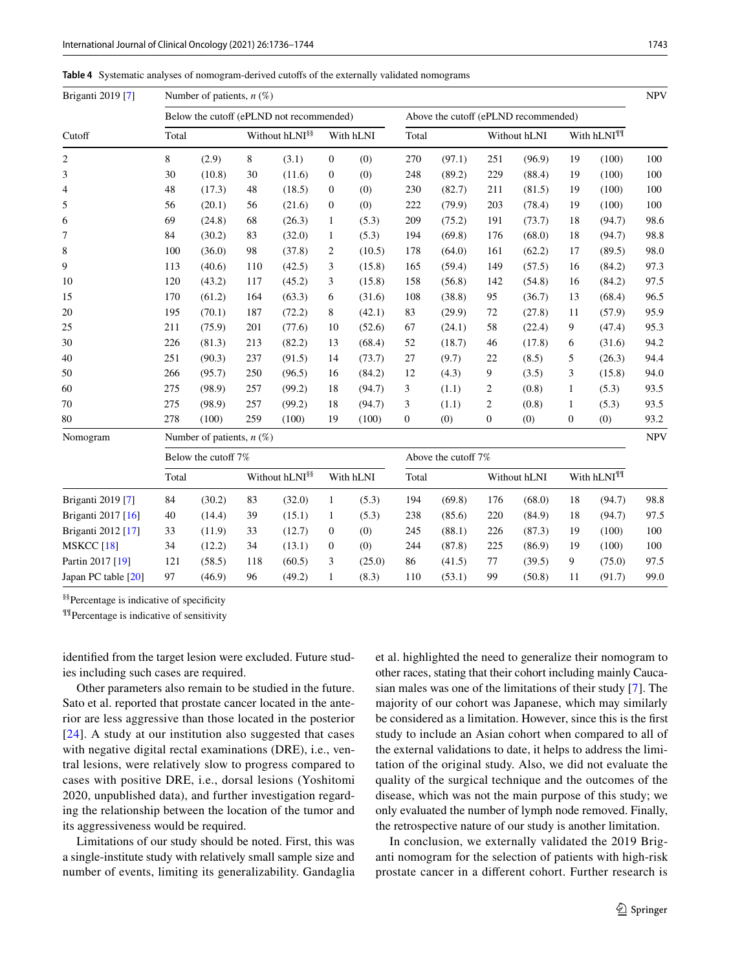<span id="page-7-0"></span>**Table 4** Systematic analyses of nomogram-derived cutofs of the externally validated nomograms

| Briganti 2019 [7]   |       | Number of patients, $n$ (%) |       |                                          |                  |                     |                  |        |                |                                      |                  |                        | <b>NPV</b> |
|---------------------|-------|-----------------------------|-------|------------------------------------------|------------------|---------------------|------------------|--------|----------------|--------------------------------------|------------------|------------------------|------------|
|                     |       |                             |       | Below the cutoff (ePLND not recommended) |                  |                     |                  |        |                | Above the cutoff (ePLND recommended) |                  |                        |            |
| Cutoff              | Total |                             |       | Without hLNI <sup>§§</sup>               |                  | With hLNI           | Total            |        |                | Without hLNI                         |                  | With hLNI <sup>¶</sup> |            |
| 2                   | 8     | (2.9)                       | $8\,$ | (3.1)                                    | $\boldsymbol{0}$ | (0)                 | 270              | (97.1) | 251            | (96.9)                               | 19               | (100)                  | 100        |
| 3                   | 30    | (10.8)                      | 30    | (11.6)                                   | $\boldsymbol{0}$ | (0)                 | 248              | (89.2) | 229            | (88.4)                               | 19               | (100)                  | 100        |
| 4                   | 48    | (17.3)                      | 48    | (18.5)                                   | $\mathbf{0}$     | (0)                 | 230              | (82.7) | 211            | (81.5)                               | 19               | (100)                  | 100        |
| 5                   | 56    | (20.1)                      | 56    | (21.6)                                   | $\mathbf{0}$     | (0)                 | 222              | (79.9) | 203            | (78.4)                               | 19               | (100)                  | 100        |
| 6                   | 69    | (24.8)                      | 68    | (26.3)                                   | $\mathbf{1}$     | (5.3)               | 209              | (75.2) | 191            | (73.7)                               | 18               | (94.7)                 | 98.6       |
| 7                   | 84    | (30.2)                      | 83    | (32.0)                                   | $\mathbf{1}$     | (5.3)               | 194              | (69.8) | 176            | (68.0)                               | 18               | (94.7)                 | 98.8       |
| 8                   | 100   | (36.0)                      | 98    | (37.8)                                   | $\overline{c}$   | (10.5)              | 178              | (64.0) | 161            | (62.2)                               | 17               | (89.5)                 | 98.0       |
| 9                   | 113   | (40.6)                      | 110   | (42.5)                                   | 3                | (15.8)              | 165              | (59.4) | 149            | (57.5)                               | 16               | (84.2)                 | 97.3       |
| 10                  | 120   | (43.2)                      | 117   | (45.2)                                   | 3                | (15.8)              | 158              | (56.8) | 142            | (54.8)                               | 16               | (84.2)                 | 97.5       |
| 15                  | 170   | (61.2)                      | 164   | (63.3)                                   | 6                | (31.6)              | 108              | (38.8) | 95             | (36.7)                               | 13               | (68.4)                 | 96.5       |
| 20                  | 195   | (70.1)                      | 187   | (72.2)                                   | 8                | (42.1)              | 83               | (29.9) | 72             | (27.8)                               | 11               | (57.9)                 | 95.9       |
| 25                  | 211   | (75.9)                      | 201   | (77.6)                                   | 10               | (52.6)              | 67               | (24.1) | 58             | (22.4)                               | 9                | (47.4)                 | 95.3       |
| 30                  | 226   | (81.3)                      | 213   | (82.2)                                   | 13               | (68.4)              | 52               | (18.7) | 46             | (17.8)                               | 6                | (31.6)                 | 94.2       |
| 40                  | 251   | (90.3)                      | 237   | (91.5)                                   | 14               | (73.7)              | 27               | (9.7)  | 22             | (8.5)                                | 5                | (26.3)                 | 94.4       |
| 50                  | 266   | (95.7)                      | 250   | (96.5)                                   | 16               | (84.2)              | 12               | (4.3)  | 9              | (3.5)                                | 3                | (15.8)                 | 94.0       |
| 60                  | 275   | (98.9)                      | 257   | (99.2)                                   | 18               | (94.7)              | 3                | (1.1)  | 2              | (0.8)                                | $\mathbf{1}$     | (5.3)                  | 93.5       |
| 70                  | 275   | (98.9)                      | 257   | (99.2)                                   | 18               | (94.7)              | 3                | (1.1)  | $\overline{c}$ | (0.8)                                | $\mathbf{1}$     | (5.3)                  | 93.5       |
| 80                  | 278   | (100)                       | 259   | (100)                                    | 19               | (100)               | $\boldsymbol{0}$ | (0)    | $\mathbf{0}$   | (0)                                  | $\boldsymbol{0}$ | (0)                    | 93.2       |
| Nomogram            |       | Number of patients, $n$ (%) |       |                                          |                  |                     |                  |        |                |                                      |                  |                        | <b>NPV</b> |
|                     |       | Below the cutoff 7%         |       |                                          |                  | Above the cutoff 7% |                  |        |                |                                      |                  |                        |            |
|                     | Total |                             |       | Without hLNI <sup>§§</sup>               |                  | With hLNI           | Total            |        |                | Without hLNI                         |                  | With hLNI <sup>¶</sup> |            |
| Briganti 2019 [7]   | 84    | (30.2)                      | 83    | (32.0)                                   | $\mathbf{1}$     | (5.3)               | 194              | (69.8) | 176            | (68.0)                               | 18               | (94.7)                 | 98.8       |
| Briganti 2017 [16]  | 40    | (14.4)                      | 39    | (15.1)                                   | $\mathbf{1}$     | (5.3)               | 238              | (85.6) | 220            | (84.9)                               | 18               | (94.7)                 | 97.5       |
| Briganti 2012 [17]  | 33    | (11.9)                      | 33    | (12.7)                                   | $\mathbf{0}$     | (0)                 | 245              | (88.1) | 226            | (87.3)                               | 19               | (100)                  | 100        |
| MSKCC $[18]$        | 34    | (12.2)                      | 34    | (13.1)                                   | $\mathbf{0}$     | (0)                 | 244              | (87.8) | 225            | (86.9)                               | 19               | (100)                  | 100        |
| Partin 2017 [19]    | 121   | (58.5)                      | 118   | (60.5)                                   | 3                | (25.0)              | 86               | (41.5) | 77             | (39.5)                               | 9                | (75.0)                 | 97.5       |
| Japan PC table [20] | 97    | (46.9)                      | 96    | (49.2)                                   | $\mathbf{1}$     | (8.3)               | 110              | (53.1) | 99             | (50.8)                               | 11               | (91.7)                 | 99.0       |

§§Percentage is indicative of specifcity

¶¶Percentage is indicative of sensitivity

identifed from the target lesion were excluded. Future studies including such cases are required.

Other parameters also remain to be studied in the future. Sato et al. reported that prostate cancer located in the anterior are less aggressive than those located in the posterior [[24\]](#page-8-21). A study at our institution also suggested that cases with negative digital rectal examinations (DRE), i.e., ventral lesions, were relatively slow to progress compared to cases with positive DRE, i.e., dorsal lesions (Yoshitomi 2020, unpublished data), and further investigation regarding the relationship between the location of the tumor and its aggressiveness would be required.

Limitations of our study should be noted. First, this was a single-institute study with relatively small sample size and number of events, limiting its generalizability. Gandaglia et al. highlighted the need to generalize their nomogram to other races, stating that their cohort including mainly Caucasian males was one of the limitations of their study [\[7](#page-8-6)]. The majority of our cohort was Japanese, which may similarly be considered as a limitation. However, since this is the frst study to include an Asian cohort when compared to all of the external validations to date, it helps to address the limitation of the original study. Also, we did not evaluate the quality of the surgical technique and the outcomes of the disease, which was not the main purpose of this study; we only evaluated the number of lymph node removed. Finally, the retrospective nature of our study is another limitation.

In conclusion, we externally validated the 2019 Briganti nomogram for the selection of patients with high-risk prostate cancer in a diferent cohort. Further research is